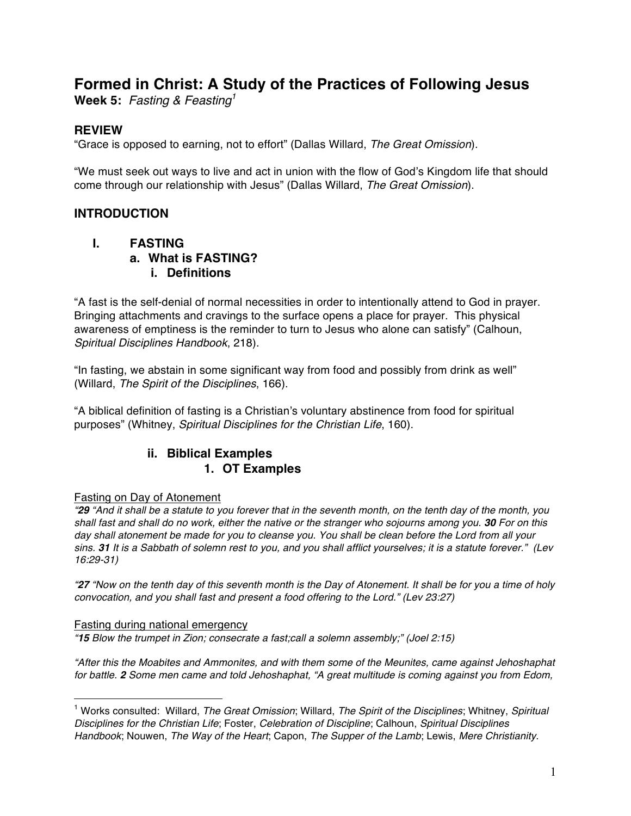# **Formed in Christ: A Study of the Practices of Following Jesus**

**Week 5:** *Fasting & Feasting1*

## **REVIEW**

"Grace is opposed to earning, not to effort" (Dallas Willard, *The Great Omission*).

"We must seek out ways to live and act in union with the flow of God's Kingdom life that should come through our relationship with Jesus" (Dallas Willard, *The Great Omission*).

### **INTRODUCTION**

### **I. FASTING**

- **a. What is FASTING?**
	- **i. Definitions**

"A fast is the self-denial of normal necessities in order to intentionally attend to God in prayer. Bringing attachments and cravings to the surface opens a place for prayer. This physical awareness of emptiness is the reminder to turn to Jesus who alone can satisfy" (Calhoun, *Spiritual Disciplines Handbook*, 218).

"In fasting, we abstain in some significant way from food and possibly from drink as well" (Willard, *The Spirit of the Disciplines*, 166).

"A biblical definition of fasting is a Christian's voluntary abstinence from food for spiritual purposes" (Whitney, *Spiritual Disciplines for the Christian Life*, 160).

# **ii. Biblical Examples 1. OT Examples**

#### Fasting on Day of Atonement

*"29 "And it shall be a statute to you forever that in the seventh month, on the tenth day of the month, you shall fast and shall do no work, either the native or the stranger who sojourns among you. 30 For on this day shall atonement be made for you to cleanse you. You shall be clean before the Lord from all your sins. 31 It is a Sabbath of solemn rest to you, and you shall afflict yourselves; it is a statute forever." (Lev 16:29-31)*

*"27 "Now on the tenth day of this seventh month is the Day of Atonement. It shall be for you a time of holy convocation, and you shall fast and present a food offering to the Lord." (Lev 23:27)*

#### Fasting during national emergency

 $\overline{a}$ 

*"15 Blow the trumpet in Zion; consecrate a fast;call a solemn assembly;" (Joel 2:15)*

*"After this the Moabites and Ammonites, and with them some of the Meunites, came against Jehoshaphat for battle. 2 Some men came and told Jehoshaphat, "A great multitude is coming against you from Edom,* 

<sup>1</sup> Works consulted: Willard, *The Great Omission*; Willard, *The Spirit of the Disciplines*; Whitney, *Spiritual Disciplines for the Christian Life*; Foster, *Celebration of Discipline*; Calhoun, *Spiritual Disciplines Handbook*; Nouwen, *The Way of the Heart*; Capon, *The Supper of the Lamb*; Lewis, *Mere Christianity*.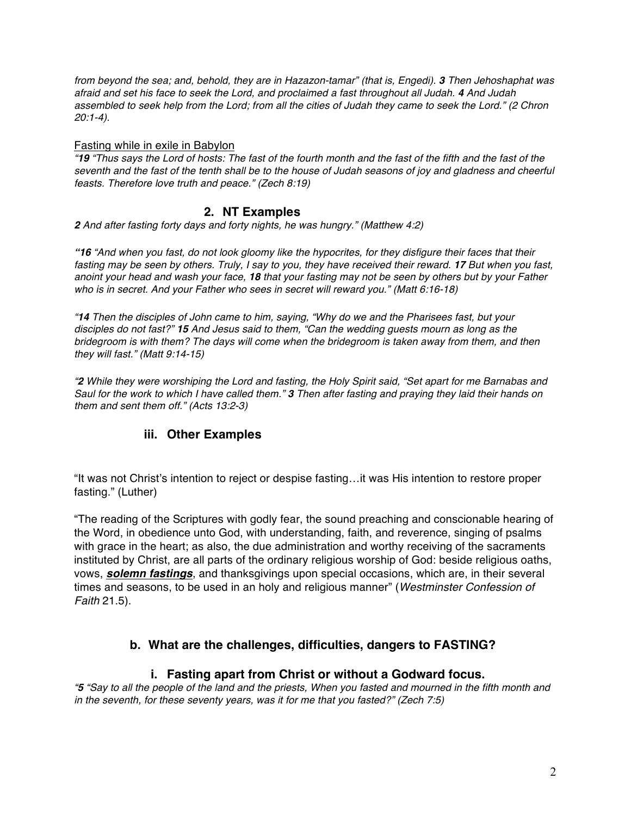*from beyond the sea; and, behold, they are in Hazazon-tamar" (that is, Engedi). 3 Then Jehoshaphat was afraid and set his face to seek the Lord, and proclaimed a fast throughout all Judah. 4 And Judah assembled to seek help from the Lord; from all the cities of Judah they came to seek the Lord." (2 Chron 20:1-4).*

#### Fasting while in exile in Babylon

*"19 "Thus says the Lord of hosts: The fast of the fourth month and the fast of the fifth and the fast of the seventh and the fast of the tenth shall be to the house of Judah seasons of joy and gladness and cheerful feasts. Therefore love truth and peace." (Zech 8:19)*

### **2. NT Examples**

*2 And after fasting forty days and forty nights, he was hungry." (Matthew 4:2)*

*"16 "And when you fast, do not look gloomy like the hypocrites, for they disfigure their faces that their fasting may be seen by others. Truly, I say to you, they have received their reward. 17 But when you fast, anoint your head and wash your face, 18 that your fasting may not be seen by others but by your Father who is in secret. And your Father who sees in secret will reward you." (Matt 6:16-18)*

*"14 Then the disciples of John came to him, saying, "Why do we and the Pharisees fast, but your disciples do not fast?" 15 And Jesus said to them, "Can the wedding guests mourn as long as the bridegroom is with them? The days will come when the bridegroom is taken away from them, and then they will fast." (Matt 9:14-15)*

*"2 While they were worshiping the Lord and fasting, the Holy Spirit said, "Set apart for me Barnabas and Saul for the work to which I have called them." 3 Then after fasting and praying they laid their hands on them and sent them off." (Acts 13:2-3)*

#### **iii. Other Examples**

"It was not Christ's intention to reject or despise fasting…it was His intention to restore proper fasting." (Luther)

"The reading of the Scriptures with godly fear, the sound preaching and conscionable hearing of the Word, in obedience unto God, with understanding, faith, and reverence, singing of psalms with grace in the heart; as also, the due administration and worthy receiving of the sacraments instituted by Christ, are all parts of the ordinary religious worship of God: beside religious oaths, vows, *solemn fastings*, and thanksgivings upon special occasions, which are, in their several times and seasons, to be used in an holy and religious manner" (*Westminster Confession of Faith* 21.5).

### **b. What are the challenges, difficulties, dangers to FASTING?**

#### **i. Fasting apart from Christ or without a Godward focus.**

*"5 "Say to all the people of the land and the priests, When you fasted and mourned in the fifth month and in the seventh, for these seventy years, was it for me that you fasted?" (Zech 7:5)*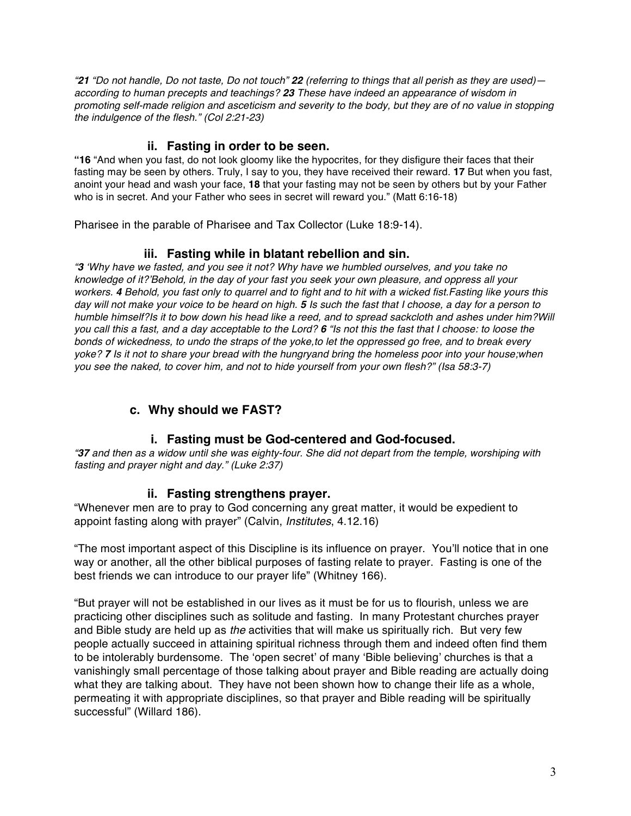*"21 "Do not handle, Do not taste, Do not touch" 22 (referring to things that all perish as they are used) according to human precepts and teachings? 23 These have indeed an appearance of wisdom in promoting self-made religion and asceticism and severity to the body, but they are of no value in stopping the indulgence of the flesh." (Col 2:21-23)*

### **ii. Fasting in order to be seen.**

**"16** "And when you fast, do not look gloomy like the hypocrites, for they disfigure their faces that their fasting may be seen by others. Truly, I say to you, they have received their reward. **17** But when you fast, anoint your head and wash your face, **18** that your fasting may not be seen by others but by your Father who is in secret. And your Father who sees in secret will reward you." (Matt 6:16-18)

Pharisee in the parable of Pharisee and Tax Collector (Luke 18:9-14).

### **iii. Fasting while in blatant rebellion and sin.**

*"3 'Why have we fasted, and you see it not? Why have we humbled ourselves, and you take no knowledge of it?'Behold, in the day of your fast you seek your own pleasure, and oppress all your workers. 4 Behold, you fast only to quarrel and to fight and to hit with a wicked fist.Fasting like yours this day will not make your voice to be heard on high. 5 Is such the fast that I choose, a day for a person to humble himself?Is it to bow down his head like a reed, and to spread sackcloth and ashes under him?Will you call this a fast, and a day acceptable to the Lord? 6 "Is not this the fast that I choose: to loose the bonds of wickedness, to undo the straps of the yoke,to let the oppressed go free, and to break every yoke? 7 Is it not to share your bread with the hungryand bring the homeless poor into your house;when you see the naked, to cover him, and not to hide yourself from your own flesh?" (Isa 58:3-7)*

# **c. Why should we FAST?**

### **i. Fasting must be God-centered and God-focused.**

*"37 and then as a widow until she was eighty-four. She did not depart from the temple, worshiping with fasting and prayer night and day." (Luke 2:37)*

#### **ii. Fasting strengthens prayer.**

"Whenever men are to pray to God concerning any great matter, it would be expedient to appoint fasting along with prayer" (Calvin, *Institutes*, 4.12.16)

"The most important aspect of this Discipline is its influence on prayer. You'll notice that in one way or another, all the other biblical purposes of fasting relate to prayer. Fasting is one of the best friends we can introduce to our prayer life" (Whitney 166).

"But prayer will not be established in our lives as it must be for us to flourish, unless we are practicing other disciplines such as solitude and fasting. In many Protestant churches prayer and Bible study are held up as *the* activities that will make us spiritually rich. But very few people actually succeed in attaining spiritual richness through them and indeed often find them to be intolerably burdensome. The 'open secret' of many 'Bible believing' churches is that a vanishingly small percentage of those talking about prayer and Bible reading are actually doing what they are talking about. They have not been shown how to change their life as a whole, permeating it with appropriate disciplines, so that prayer and Bible reading will be spiritually successful" (Willard 186).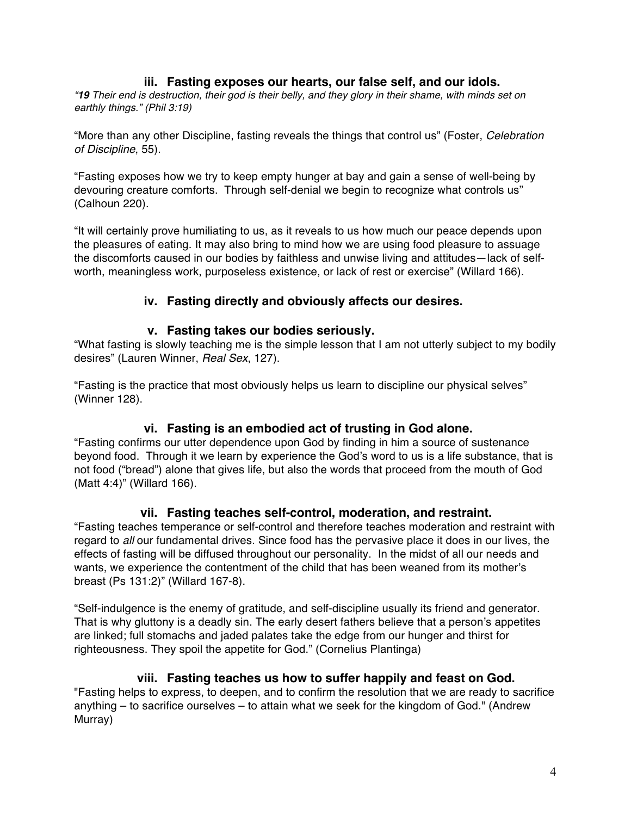### **iii. Fasting exposes our hearts, our false self, and our idols.**

*"19 Their end is destruction, their god is their belly, and they glory in their shame, with minds set on earthly things." (Phil 3:19)*

"More than any other Discipline, fasting reveals the things that control us" (Foster, *Celebration of Discipline*, 55).

"Fasting exposes how we try to keep empty hunger at bay and gain a sense of well-being by devouring creature comforts. Through self-denial we begin to recognize what controls us" (Calhoun 220).

"It will certainly prove humiliating to us, as it reveals to us how much our peace depends upon the pleasures of eating. It may also bring to mind how we are using food pleasure to assuage the discomforts caused in our bodies by faithless and unwise living and attitudes—lack of selfworth, meaningless work, purposeless existence, or lack of rest or exercise" (Willard 166).

### **iv. Fasting directly and obviously affects our desires.**

#### **v. Fasting takes our bodies seriously.**

"What fasting is slowly teaching me is the simple lesson that I am not utterly subject to my bodily desires" (Lauren Winner, *Real Sex*, 127).

"Fasting is the practice that most obviously helps us learn to discipline our physical selves" (Winner 128).

### **vi. Fasting is an embodied act of trusting in God alone.**

"Fasting confirms our utter dependence upon God by finding in him a source of sustenance beyond food. Through it we learn by experience the God's word to us is a life substance, that is not food ("bread") alone that gives life, but also the words that proceed from the mouth of God (Matt 4:4)" (Willard 166).

#### **vii. Fasting teaches self-control, moderation, and restraint.**

"Fasting teaches temperance or self-control and therefore teaches moderation and restraint with regard to *all* our fundamental drives. Since food has the pervasive place it does in our lives, the effects of fasting will be diffused throughout our personality. In the midst of all our needs and wants, we experience the contentment of the child that has been weaned from its mother's breast (Ps 131:2)" (Willard 167-8).

"Self-indulgence is the enemy of gratitude, and self-discipline usually its friend and generator. That is why gluttony is a deadly sin. The early desert fathers believe that a person's appetites are linked; full stomachs and jaded palates take the edge from our hunger and thirst for righteousness. They spoil the appetite for God." (Cornelius Plantinga)

### **viii. Fasting teaches us how to suffer happily and feast on God.**

"Fasting helps to express, to deepen, and to confirm the resolution that we are ready to sacrifice anything – to sacrifice ourselves – to attain what we seek for the kingdom of God." (Andrew Murray)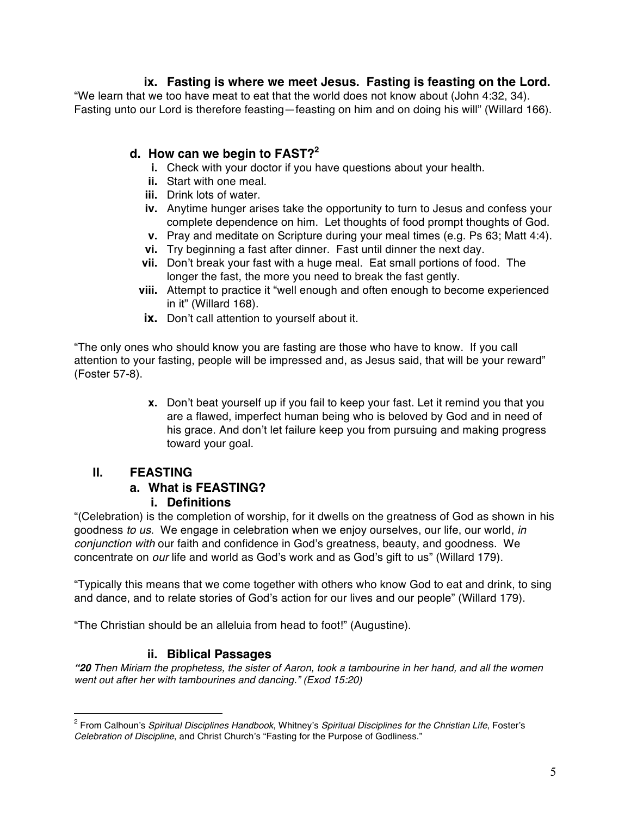## **ix. Fasting is where we meet Jesus. Fasting is feasting on the Lord.**

"We learn that we too have meat to eat that the world does not know about (John 4:32, 34). Fasting unto our Lord is therefore feasting—feasting on him and on doing his will" (Willard 166).

## **d. How can we begin to FAST?2**

- **i.** Check with your doctor if you have questions about your health.
- **ii.** Start with one meal.
- **iii.** Drink lots of water.
- **iv.** Anytime hunger arises take the opportunity to turn to Jesus and confess your complete dependence on him. Let thoughts of food prompt thoughts of God.
- **v.** Pray and meditate on Scripture during your meal times (e.g. Ps 63; Matt 4:4).
- **vi.** Try beginning a fast after dinner. Fast until dinner the next day.
- **vii.** Don't break your fast with a huge meal. Eat small portions of food. The longer the fast, the more you need to break the fast gently.
- **viii.** Attempt to practice it "well enough and often enough to become experienced in it" (Willard 168).
- **ix.** Don't call attention to yourself about it.

"The only ones who should know you are fasting are those who have to know. If you call attention to your fasting, people will be impressed and, as Jesus said, that will be your reward" (Foster 57-8).

> **x.** Don't beat yourself up if you fail to keep your fast. Let it remind you that you are a flawed, imperfect human being who is beloved by God and in need of his grace. And don't let failure keep you from pursuing and making progress toward your goal.

# **II. FEASTING**

# **a. What is FEASTING?**

### **i. Definitions**

"(Celebration) is the completion of worship, for it dwells on the greatness of God as shown in his goodness *to us*. We engage in celebration when we enjoy ourselves, our life, our world, *in conjunction with* our faith and confidence in God's greatness, beauty, and goodness. We concentrate on *our* life and world as God's work and as God's gift to us" (Willard 179).

"Typically this means that we come together with others who know God to eat and drink, to sing and dance, and to relate stories of God's action for our lives and our people" (Willard 179).

"The Christian should be an alleluia from head to foot!" (Augustine).

# **ii. Biblical Passages**

*"20 Then Miriam the prophetess, the sister of Aaron, took a tambourine in her hand, and all the women went out after her with tambourines and dancing." (Exod 15:20)*

<sup>2</sup> From Calhoun's *Spiritual Disciplines Handbook*, Whitney's *Spiritual Disciplines for the Christian Life*, Foster's *Celebration of Discipline*, and Christ Church's "Fasting for the Purpose of Godliness."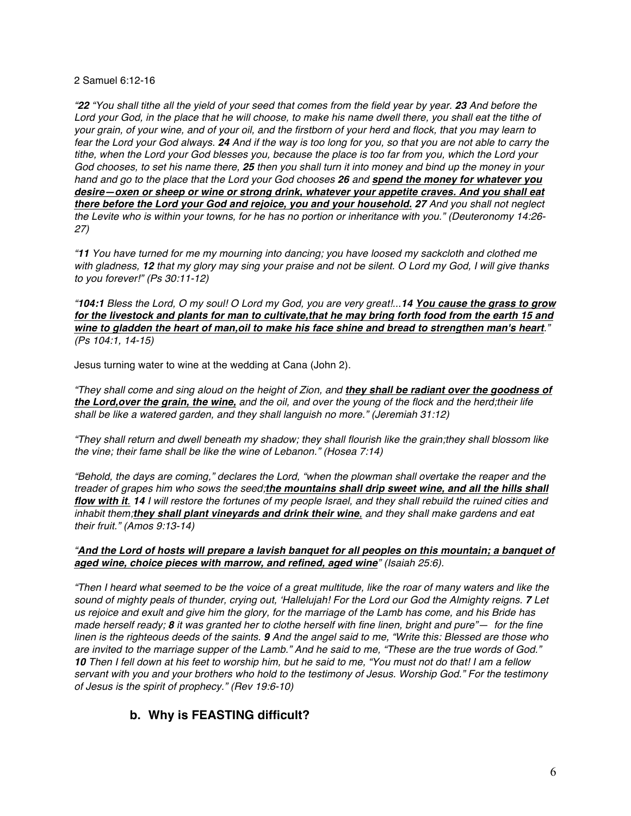2 Samuel 6:12-16

*"22 "You shall tithe all the yield of your seed that comes from the field year by year. 23 And before the Lord your God, in the place that he will choose, to make his name dwell there, you shall eat the tithe of your grain, of your wine, and of your oil, and the firstborn of your herd and flock, that you may learn to fear the Lord your God always. 24 And if the way is too long for you, so that you are not able to carry the tithe, when the Lord your God blesses you, because the place is too far from you, which the Lord your God chooses, to set his name there, 25 then you shall turn it into money and bind up the money in your hand and go to the place that the Lord your God chooses 26 and spend the money for whatever you desire—oxen or sheep or wine or strong drink, whatever your appetite craves. And you shall eat there before the Lord your God and rejoice, you and your household. 27 And you shall not neglect the Levite who is within your towns, for he has no portion or inheritance with you." (Deuteronomy 14:26- 27)*

*"11 You have turned for me my mourning into dancing; you have loosed my sackcloth and clothed me with gladness, 12 that my glory may sing your praise and not be silent. O Lord my God, I will give thanks to you forever!" (Ps 30:11-12)*

*"104:1 Bless the Lord, O my soul! O Lord my God, you are very great!...14 You cause the grass to grow for the livestock and plants for man to cultivate,that he may bring forth food from the earth 15 and wine to gladden the heart of man,oil to make his face shine and bread to strengthen man's heart." (Ps 104:1, 14-15)*

Jesus turning water to wine at the wedding at Cana (John 2).

*"They shall come and sing aloud on the height of Zion, and they shall be radiant over the goodness of the Lord,over the grain, the wine, and the oil, and over the young of the flock and the herd;their life shall be like a watered garden, and they shall languish no more." (Jeremiah 31:12)*

*"They shall return and dwell beneath my shadow; they shall flourish like the grain;they shall blossom like the vine; their fame shall be like the wine of Lebanon." (Hosea 7:14)*

*"Behold, the days are coming," declares the Lord, "when the plowman shall overtake the reaper and the treader of grapes him who sows the seed;the mountains shall drip sweet wine, and all the hills shall flow with it. 14 I will restore the fortunes of my people Israel, and they shall rebuild the ruined cities and inhabit them;they shall plant vineyards and drink their wine, and they shall make gardens and eat their fruit." (Amos 9:13-14)*

#### *"And the Lord of hosts will prepare a lavish banquet for all peoples on this mountain; a banquet of aged wine, choice pieces with marrow, and refined, aged wine" (Isaiah 25:6).*

*"Then I heard what seemed to be the voice of a great multitude, like the roar of many waters and like the sound of mighty peals of thunder, crying out, 'Hallelujah! For the Lord our God the Almighty reigns. 7 Let us rejoice and exult and give him the glory, for the marriage of the Lamb has come, and his Bride has made herself ready; 8 it was granted her to clothe herself with fine linen, bright and pure"— for the fine linen is the righteous deeds of the saints. 9 And the angel said to me, "Write this: Blessed are those who are invited to the marriage supper of the Lamb." And he said to me, "These are the true words of God." 10 Then I fell down at his feet to worship him, but he said to me, "You must not do that! I am a fellow servant with you and your brothers who hold to the testimony of Jesus. Worship God." For the testimony of Jesus is the spirit of prophecy." (Rev 19:6-10)*

# **b. Why is FEASTING difficult?**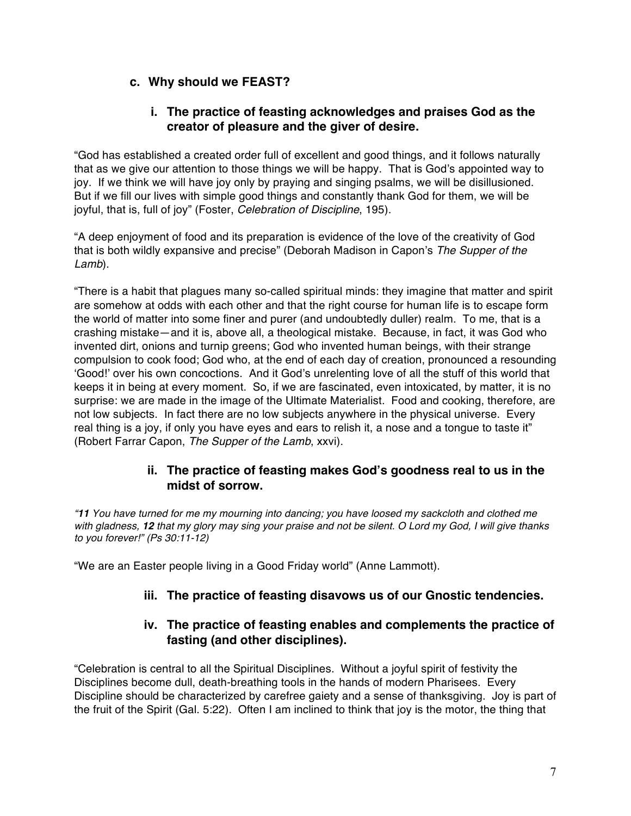## **c. Why should we FEAST?**

### **i. The practice of feasting acknowledges and praises God as the creator of pleasure and the giver of desire.**

"God has established a created order full of excellent and good things, and it follows naturally that as we give our attention to those things we will be happy. That is God's appointed way to joy. If we think we will have joy only by praying and singing psalms, we will be disillusioned. But if we fill our lives with simple good things and constantly thank God for them, we will be joyful, that is, full of joy" (Foster, *Celebration of Discipline*, 195).

"A deep enjoyment of food and its preparation is evidence of the love of the creativity of God that is both wildly expansive and precise" (Deborah Madison in Capon's *The Supper of the Lamb*).

"There is a habit that plagues many so-called spiritual minds: they imagine that matter and spirit are somehow at odds with each other and that the right course for human life is to escape form the world of matter into some finer and purer (and undoubtedly duller) realm. To me, that is a crashing mistake—and it is, above all, a theological mistake. Because, in fact, it was God who invented dirt, onions and turnip greens; God who invented human beings, with their strange compulsion to cook food; God who, at the end of each day of creation, pronounced a resounding 'Good!' over his own concoctions. And it God's unrelenting love of all the stuff of this world that keeps it in being at every moment. So, if we are fascinated, even intoxicated, by matter, it is no surprise: we are made in the image of the Ultimate Materialist. Food and cooking, therefore, are not low subjects. In fact there are no low subjects anywhere in the physical universe. Every real thing is a joy, if only you have eyes and ears to relish it, a nose and a tongue to taste it" (Robert Farrar Capon, *The Supper of the Lamb*, xxvi).

### **ii. The practice of feasting makes God's goodness real to us in the midst of sorrow.**

*"11 You have turned for me my mourning into dancing; you have loosed my sackcloth and clothed me with gladness, 12 that my glory may sing your praise and not be silent. O Lord my God, I will give thanks to you forever!" (Ps 30:11-12)*

"We are an Easter people living in a Good Friday world" (Anne Lammott).

# **iii. The practice of feasting disavows us of our Gnostic tendencies.**

### **iv. The practice of feasting enables and complements the practice of fasting (and other disciplines).**

"Celebration is central to all the Spiritual Disciplines. Without a joyful spirit of festivity the Disciplines become dull, death-breathing tools in the hands of modern Pharisees. Every Discipline should be characterized by carefree gaiety and a sense of thanksgiving. Joy is part of the fruit of the Spirit (Gal. 5:22). Often I am inclined to think that joy is the motor, the thing that